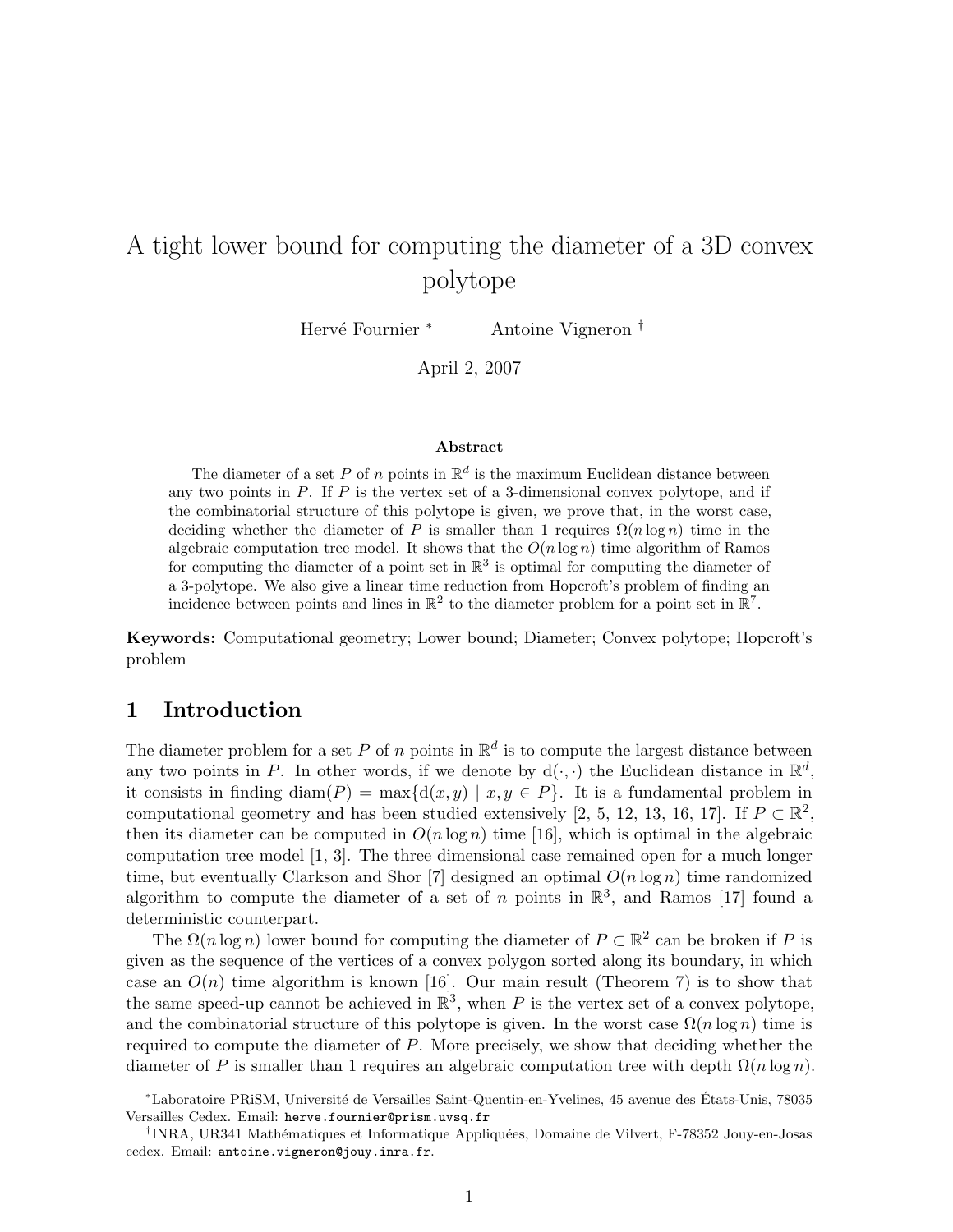# A tight lower bound for computing the diameter of a 3D convex polytope

Hervé Fournier <sup>∗</sup> Antoine Vigneron †

April 2, 2007

#### Abstract

The diameter of a set P of n points in  $\mathbb{R}^d$  is the maximum Euclidean distance between any two points in  $P$ . If  $P$  is the vertex set of a 3-dimensional convex polytope, and if the combinatorial structure of this polytope is given, we prove that, in the worst case, deciding whether the diameter of P is smaller than 1 requires  $\Omega(n \log n)$  time in the algebraic computation tree model. It shows that the  $O(n \log n)$  time algorithm of Ramos for computing the diameter of a point set in  $\mathbb{R}^3$  is optimal for computing the diameter of a 3-polytope. We also give a linear time reduction from Hopcroft's problem of finding an incidence between points and lines in  $\mathbb{R}^2$  to the diameter problem for a point set in  $\mathbb{R}^7$ .

Keywords: Computational geometry; Lower bound; Diameter; Convex polytope; Hopcroft's problem

#### 1 Introduction

The diameter problem for a set P of n points in  $\mathbb{R}^d$  is to compute the largest distance between any two points in P. In other words, if we denote by  $d(\cdot, \cdot)$  the Euclidean distance in  $\mathbb{R}^d$ , it consists in finding diam(P) = max{d(x,y) | x, y 
ightarrow P}. It is a fundamental problem in computational geometry and has been studied extensively [2, 5, 12, 13, 16, 17]. If  $P \subset \mathbb{R}^2$ , then its diameter can be computed in  $O(n \log n)$  time [16], which is optimal in the algebraic computation tree model [1, 3]. The three dimensional case remained open for a much longer time, but eventually Clarkson and Shor [7] designed an optimal  $O(n \log n)$  time randomized algorithm to compute the diameter of a set of n points in  $\mathbb{R}^3$ , and Ramos [17] found a deterministic counterpart.

The  $\Omega(n \log n)$  lower bound for computing the diameter of  $P \subset \mathbb{R}^2$  can be broken if P is given as the sequence of the vertices of a convex polygon sorted along its boundary, in which case an  $O(n)$  time algorithm is known [16]. Our main result (Theorem 7) is to show that the same speed-up cannot be achieved in  $\mathbb{R}^3$ , when P is the vertex set of a convex polytope, and the combinatorial structure of this polytope is given. In the worst case  $\Omega(n \log n)$  time is required to compute the diameter of P. More precisely, we show that deciding whether the diameter of P is smaller than 1 requires an algebraic computation tree with depth  $\Omega(n \log n)$ .

<sup>∗</sup>Laboratoire PRiSM, Universit´e de Versailles Saint-Quentin-en-Yvelines, 45 avenue des Etats-Unis, 78035 ´ Versailles Cedex. Email: herve.fournier@prism.uvsq.fr

<sup>&</sup>lt;sup>†</sup>INRA, UR341 Mathématiques et Informatique Appliquées, Domaine de Vilvert, F-78352 Jouy-en-Josas cedex. Email: antoine.vigneron@jouy.inra.fr.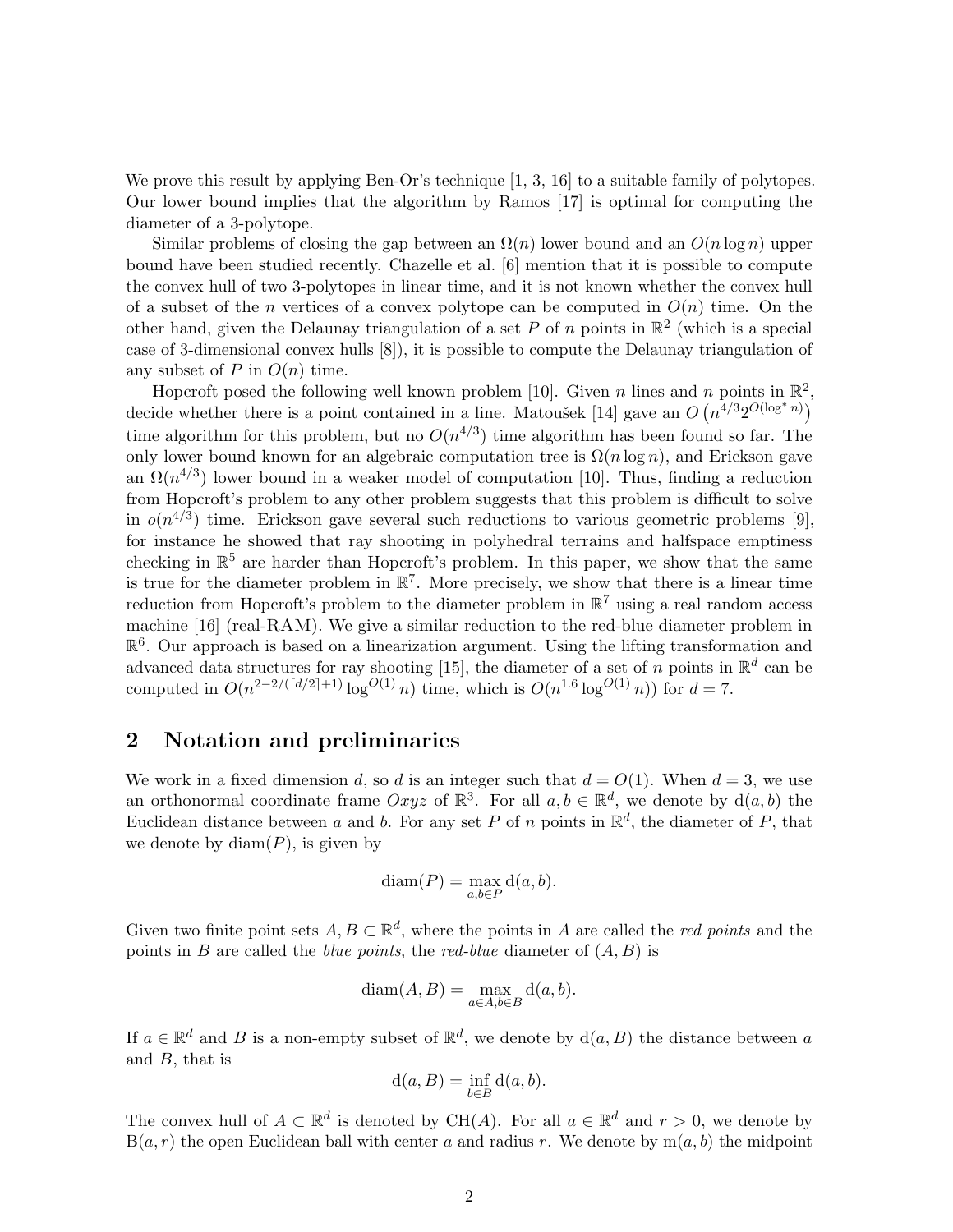We prove this result by applying Ben-Or's technique [1, 3, 16] to a suitable family of polytopes. Our lower bound implies that the algorithm by Ramos [17] is optimal for computing the diameter of a 3-polytope.

Similar problems of closing the gap between an  $\Omega(n)$  lower bound and an  $O(n \log n)$  upper bound have been studied recently. Chazelle et al. [6] mention that it is possible to compute the convex hull of two 3-polytopes in linear time, and it is not known whether the convex hull of a subset of the *n* vertices of a convex polytope can be computed in  $O(n)$  time. On the other hand, given the Delaunay triangulation of a set P of n points in  $\mathbb{R}^2$  (which is a special case of 3-dimensional convex hulls [8]), it is possible to compute the Delaunay triangulation of any subset of P in  $O(n)$  time.

Hopcroft posed the following well known problem [10]. Given n lines and n points in  $\mathbb{R}^2$ , decide whether there is a point contained in a line. Matoušek [14] gave an  $O(n^{4/3}2^{O(\log^* n)})$ time algorithm for this problem, but no  $O(n^{4/3})$  time algorithm has been found so far. The only lower bound known for an algebraic computation tree is  $\Omega(n \log n)$ , and Erickson gave an  $\Omega(n^{4/3})$  lower bound in a weaker model of computation [10]. Thus, finding a reduction from Hopcroft's problem to any other problem suggests that this problem is difficult to solve in  $o(n^{4/3})$  time. Erickson gave several such reductions to various geometric problems [9], for instance he showed that ray shooting in polyhedral terrains and halfspace emptiness checking in  $\mathbb{R}^5$  are harder than Hopcroft's problem. In this paper, we show that the same is true for the diameter problem in  $\mathbb{R}^7$ . More precisely, we show that there is a linear time reduction from Hopcroft's problem to the diameter problem in  $\mathbb{R}^7$  using a real random access machine [16] (real-RAM). We give a similar reduction to the red-blue diameter problem in  $\mathbb{R}^6$ . Our approach is based on a linearization argument. Using the lifting transformation and advanced data structures for ray shooting [15], the diameter of a set of n points in  $\mathbb{R}^d$  can be computed in  $O(n^{2-2/(\lceil d/2 \rceil+1)} \log^{O(1)} n)$  time, which is  $O(n^{1.6} \log^{O(1)} n)$  for  $d = 7$ .

#### 2 Notation and preliminaries

We work in a fixed dimension d, so d is an integer such that  $d = O(1)$ . When  $d = 3$ , we use an orthonormal coordinate frame  $Oxyz$  of  $\mathbb{R}^3$ . For all  $a, b \in \mathbb{R}^d$ , we denote by  $d(a, b)$  the Euclidean distance between a and b. For any set P of n points in  $\mathbb{R}^d$ , the diameter of P, that we denote by  $diam(P)$ , is given by

$$
diam(P) = \max_{a,b \in P} d(a,b).
$$

Given two finite point sets  $A, B \subset \mathbb{R}^d$ , where the points in A are called the *red points* and the points in B are called the *blue points*, the *red-blue* diameter of  $(A, B)$  is

$$
diam(A, B) = \max_{a \in A, b \in B} d(a, b).
$$

If  $a \in \mathbb{R}^d$  and B is a non-empty subset of  $\mathbb{R}^d$ , we denote by  $d(a, B)$  the distance between a and  $B$ , that is

$$
d(a, B) = \inf_{b \in B} d(a, b).
$$

The convex hull of  $A \subset \mathbb{R}^d$  is denoted by CH(A). For all  $a \in \mathbb{R}^d$  and  $r > 0$ , we denote by  $B(a, r)$  the open Euclidean ball with center a and radius r. We denote by  $m(a, b)$  the midpoint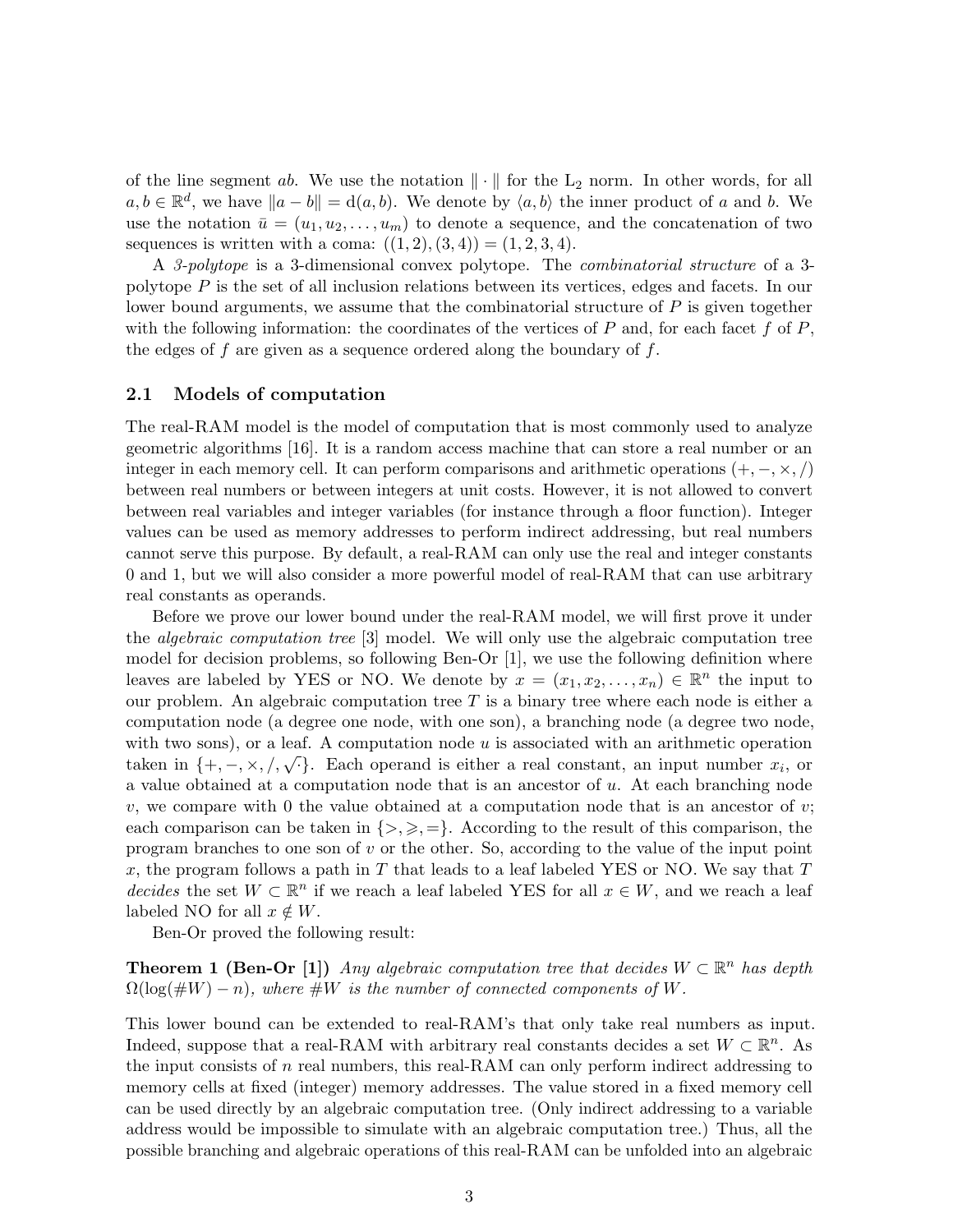of the line segment ab. We use the notation  $\|\cdot\|$  for the L<sub>2</sub> norm. In other words, for all  $a, b \in \mathbb{R}^d$ , we have  $||a - b|| = d(a, b)$ . We denote by  $\langle a, b \rangle$  the inner product of a and b. We use the notation  $\bar{u} = (u_1, u_2, \dots, u_m)$  to denote a sequence, and the concatenation of two sequences is written with a coma:  $((1, 2), (3, 4)) = (1, 2, 3, 4)$ .

A 3-polytope is a 3-dimensional convex polytope. The combinatorial structure of a 3 polytope P is the set of all inclusion relations between its vertices, edges and facets. In our lower bound arguments, we assume that the combinatorial structure of  $P$  is given together with the following information: the coordinates of the vertices of  $P$  and, for each facet  $f$  of  $P$ , the edges of  $f$  are given as a sequence ordered along the boundary of  $f$ .

#### 2.1 Models of computation

The real-RAM model is the model of computation that is most commonly used to analyze geometric algorithms [16]. It is a random access machine that can store a real number or an integer in each memory cell. It can perform comparisons and arithmetic operations  $(+, -, \times, /)$ between real numbers or between integers at unit costs. However, it is not allowed to convert between real variables and integer variables (for instance through a floor function). Integer values can be used as memory addresses to perform indirect addressing, but real numbers cannot serve this purpose. By default, a real-RAM can only use the real and integer constants 0 and 1, but we will also consider a more powerful model of real-RAM that can use arbitrary real constants as operands.

Before we prove our lower bound under the real-RAM model, we will first prove it under the algebraic computation tree [3] model. We will only use the algebraic computation tree model for decision problems, so following Ben-Or [1], we use the following definition where leaves are labeled by YES or NO. We denote by  $x = (x_1, x_2, \ldots, x_n) \in \mathbb{R}^n$  the input to our problem. An algebraic computation tree  $T$  is a binary tree where each node is either a computation node (a degree one node, with one son), a branching node (a degree two node, with two sons), or a leaf. A computation node  $u$  is associated with an arithmetic operation with two sons), or a real. A computation node a is associated with an aritmetic operation taken in  $\{+,-\times,/,\sqrt{\cdot}\}$ . Each operand is either a real constant, an input number  $x_i$ , or a value obtained at a computation node that is an ancestor of  $u$ . At each branching node v, we compare with 0 the value obtained at a computation node that is an ancestor of v; each comparison can be taken in  $\{>, \geq, =\}.$  According to the result of this comparison, the program branches to one son of  $v$  or the other. So, according to the value of the input point x, the program follows a path in T that leads to a leaf labeled YES or NO. We say that  $T$ decides the set  $W \subset \mathbb{R}^n$  if we reach a leaf labeled YES for all  $x \in W$ , and we reach a leaf labeled NO for all  $x \notin W$ .

Ben-Or proved the following result:

**Theorem 1 (Ben-Or [1])** Any algebraic computation tree that decides  $W \subset \mathbb{R}^n$  has depth  $\Omega(\log(\#W) - n)$ , where  $\#W$  is the number of connected components of W.

This lower bound can be extended to real-RAM's that only take real numbers as input. Indeed, suppose that a real-RAM with arbitrary real constants decides a set  $W \subset \mathbb{R}^n$ . As the input consists of n real numbers, this real-RAM can only perform indirect addressing to memory cells at fixed (integer) memory addresses. The value stored in a fixed memory cell can be used directly by an algebraic computation tree. (Only indirect addressing to a variable address would be impossible to simulate with an algebraic computation tree.) Thus, all the possible branching and algebraic operations of this real-RAM can be unfolded into an algebraic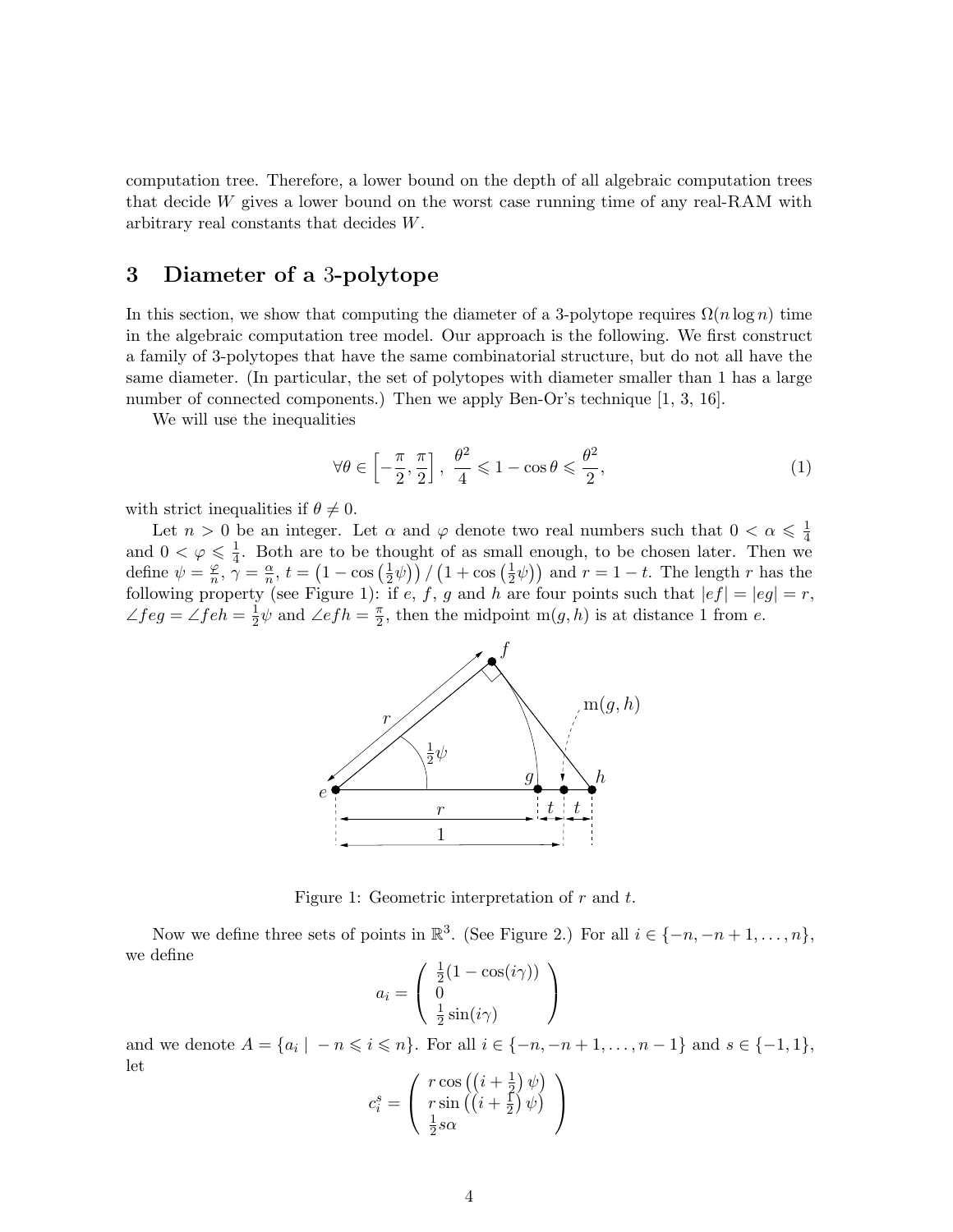computation tree. Therefore, a lower bound on the depth of all algebraic computation trees that decide W gives a lower bound on the worst case running time of any real-RAM with arbitrary real constants that decides W.

### 3 Diameter of a 3-polytope

In this section, we show that computing the diameter of a 3-polytope requires  $\Omega(n \log n)$  time in the algebraic computation tree model. Our approach is the following. We first construct a family of 3-polytopes that have the same combinatorial structure, but do not all have the same diameter. (In particular, the set of polytopes with diameter smaller than 1 has a large number of connected components.) Then we apply Ben-Or's technique [1, 3, 16].

We will use the inequalities

$$
\forall \theta \in \left[ -\frac{\pi}{2}, \frac{\pi}{2} \right], \ \frac{\theta^2}{4} \leqslant 1 - \cos \theta \leqslant \frac{\theta^2}{2},\tag{1}
$$

with strict inequalities if  $\theta \neq 0$ .

Let  $n > 0$  be an integer. Let  $\alpha$  and  $\varphi$  denote two real numbers such that  $0 < \alpha \leq \frac{1}{4}$ Let  $n > 0$  be an integer. Let  $\alpha$  and  $\varphi$  denote two real numbers such that  $0 < \alpha \leq 4$ <br>and  $0 < \varphi \leq \frac{1}{4}$ . Both are to be thought of as small enough, to be chosen later. Then we  $\frac{1}{4}$ . Both are to be thought of as small enough, to be chosen later. Then we define  $\psi = \frac{\varphi}{n}$  $\frac{\varphi}{n}, \gamma = \frac{\alpha}{n}$  $\frac{\alpha}{n}$ ,  $t = \left(1 - \cos\left(\frac{1}{2}\right)\right)$  $(\frac{1}{2}\psi)$  /  $(1 + \cos(\frac{1}{2})$  $(\frac{1}{2}\psi)$  and  $r = 1 - t$ . The length r has the following property (see Figure 1): if e, f, g and h are four points such that  $|ef| = |eg| = r$ ,  $\angle feg = \angle feh = \frac{1}{2}$  $\frac{1}{2}\psi$  and  $\angle efh = \frac{\pi}{2}$  $\frac{\pi}{2}$ , then the midpoint m $(g, h)$  is at distance 1 from e.



Figure 1: Geometric interpretation of  $r$  and  $t$ .

Now we define three sets of points in  $\mathbb{R}^3$ . (See Figure 2.) For all  $i \in \{-n, -n+1, \ldots, n\}$ , we define

$$
a_i = \begin{pmatrix} \frac{1}{2}(1 - \cos(i\gamma)) \\ 0 \\ \frac{1}{2}\sin(i\gamma) \end{pmatrix}
$$

and we denote  $A = \{a_i \mid -n \leq i \leq n\}$ . For all  $i \in \{-n, -n+1, \ldots, n-1\}$  and  $s \in \{-1, 1\}$ , let

$$
c_i^s = \left( \begin{array}{c} r \cos \left( \left( i + \frac{1}{2} \right) \psi \right) \\ r \sin \left( \left( i + \frac{1}{2} \right) \psi \right) \\ \frac{1}{2} s \alpha \end{array} \right)
$$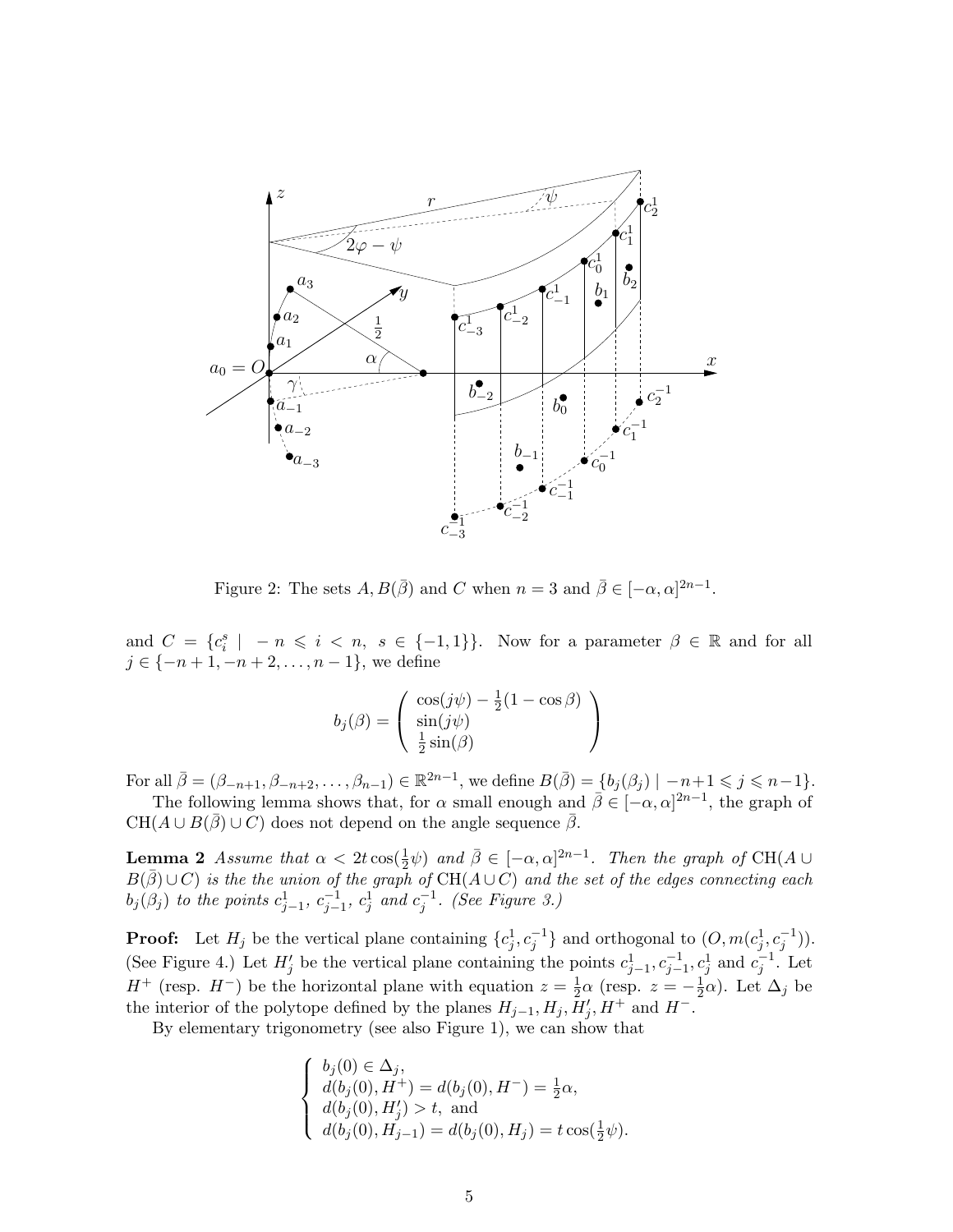

Figure 2: The sets  $A, B(\bar{\beta})$  and C when  $n = 3$  and  $\bar{\beta} \in [-\alpha, \alpha]^{2n-1}$ .

and  $C = \{c_i^s \mid -n \leq i \leq n, s \in \{-1,1\}\}\$ . Now for a parameter  $\beta \in \mathbb{R}$  and for all  $j \in \{-n+1, -n+2, \ldots, n-1\}$ , we define

$$
b_j(\beta) = \left( \begin{array}{c} \cos(j\psi) - \frac{1}{2}(1 - \cos\beta) \\ \sin(j\psi) \\ \frac{1}{2}\sin(\beta) \end{array} \right)
$$

For all  $\bar{\beta} = (\beta_{-n+1}, \beta_{-n+2}, \dots, \beta_{n-1}) \in \mathbb{R}^{2n-1}$ , we define  $B(\bar{\beta}) = \{b_j(\beta_j) \mid -n+1 \leq j \leq n-1\}$ .

The following lemma shows that, for  $\alpha$  small enough and  $\bar{\beta} \in [-\alpha, \alpha]^{2n-1}$ , the graph of  $CH(A\cup B(\overline{\beta})\cup C)$  does not depend on the angle sequence  $\overline{\beta}$ .

**Lemma 2** Assume that  $\alpha < 2t \cos(\frac{1}{2}\psi)$  and  $\bar{\beta} \in [-\alpha, \alpha]^{2n-1}$ . Then the graph of CH(A  $\cup$ **Definite 2** Assume that  $\alpha < 2t \cos(\frac{\pi}{2}\psi)$  and  $\rho \in [-\alpha, \alpha]$ . Then the graph of CH( $\overline{A} \cup C$ ) is the the union of the graph of CH( $A \cup C$ ) and the set of the edges connecting each  $b_j(\beta_j)$  to the points  $c_{j-1}^1$ ,  $c_{j-1}^{-1}$ ,  $c_j^1$  and  $c_j^{-1}$ . (See Figure 3.)

**Proof:** Let  $H_j$  be the vertical plane containing  $\{c_j^1, c_j^{-1}\}$  and orthogonal to  $(O, m(c_j^1, c_j^{-1}))$ . (See Figure 4.) Let  $H'_j$  be the vertical plane containing the points  $c_{j-1}^1, c_{j-1}^{-1}, c_j^1$  and  $c_j^{-1}$ . Let  $H^+$  (resp.  $H^-$ ) be the horizontal plane with equation  $z = \frac{1}{2}\alpha$  (resp.  $z = -\frac{1}{2}$ )  $\frac{1}{2}\alpha$ ). Let  $\Delta_j$  be the interior of the polytope defined by the planes  $H_{j-1}, H_j, \overline{H}'_j, H^+$  and  $H^-$ .

By elementary trigonometry (see also Figure 1), we can show that

$$
\begin{cases}\nb_j(0) \in \Delta_j, \\
d(b_j(0), H^+) = d(b_j(0), H^-) = \frac{1}{2}\alpha, \\
d(b_j(0), H'_j) > t, \text{ and} \\
d(b_j(0), H_{j-1}) = d(b_j(0), H_j) = t \cos(\frac{1}{2}\psi).\n\end{cases}
$$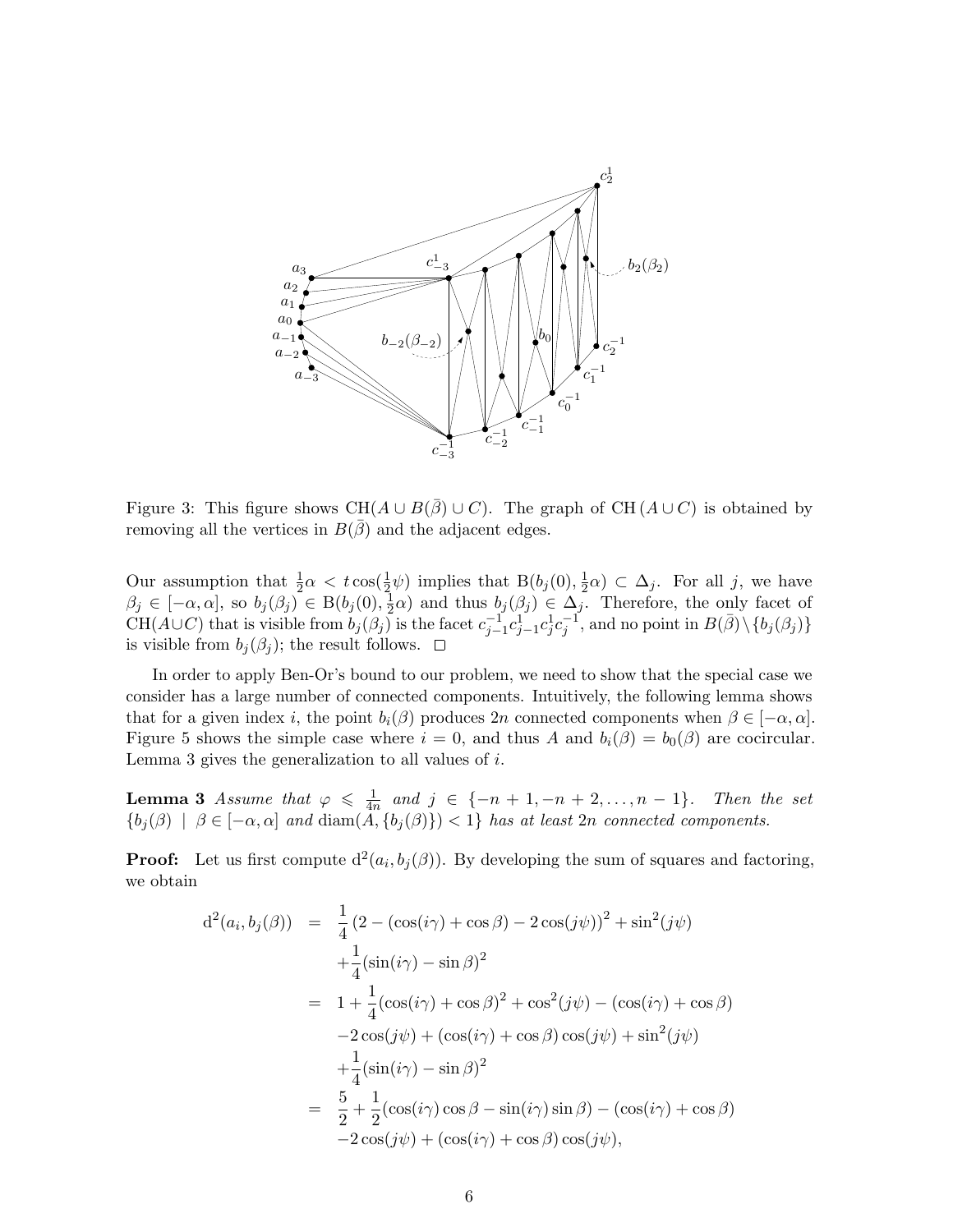

Figure 3: This figure shows CH( $A \cup B(\overline{\beta}) \cup C$ ). The graph of CH( $A \cup C$ ) is obtained by removing all the vertices in  $B(\bar{\beta})$  and the adjacent edges.

Our assumption that  $\frac{1}{2}\alpha < t \cos(\frac{1}{2})$  $\frac{1}{2}\psi$ ) implies that  $B(b_j(0), \frac{1}{2})$  $(\frac{1}{2}\alpha) \subset \Delta_j$ . For all j, we have  $\beta_j \in [-\alpha, \alpha], \text{ so } b_j(\beta_j) \in B(b_j(0), \frac{1}{2})$  $\frac{1}{2}\alpha$ ) and thus  $b_j(\beta_j) \in \Delta_j$ . Therefore, the only facet of  $CH(A\cup C)$  that is visible from  $b_j(\beta_j)$  is the facet  $c_{j-1}^{-1}c_{j-1}^{1}c_j-c_j^1c_j^{-1}$ , and no point in  $B(\bar{\beta})\setminus\{b_j(\beta_j)\}$ is visible from  $b_i(\beta_i)$ ; the result follows.  $\Box$ 

In order to apply Ben-Or's bound to our problem, we need to show that the special case we consider has a large number of connected components. Intuitively, the following lemma shows that for a given index i, the point  $b_i(\beta)$  produces 2n connected components when  $\beta \in [-\alpha, \alpha]$ . Figure 5 shows the simple case where  $i = 0$ , and thus A and  $b_i(\beta) = b_0(\beta)$  are cocircular. Lemma 3 gives the generalization to all values of i.

**Lemma 3** Assume that  $\varphi \leq \frac{1}{4r}$  $\frac{1}{4n}$  and  $j \in \{-n+1, -n+2, \ldots, n-1\}$ . Then the set  ${b_j(\beta) \mid \beta \in [-\alpha, \alpha] \text{ and } \text{diam}(A, {b_j(\beta)}) < 1}$  has at least  $2n$  connected components.

**Proof:** Let us first compute  $d^2(a_i, b_j(\beta))$ . By developing the sum of squares and factoring, we obtain

$$
d^{2}(a_{i}, b_{j}(\beta)) = \frac{1}{4} (2 - (\cos(i\gamma) + \cos\beta) - 2\cos(j\psi))^{2} + \sin^{2}(j\psi)
$$
  
+ 
$$
\frac{1}{4}(\sin(i\gamma) - \sin\beta)^{2}
$$
  
= 
$$
1 + \frac{1}{4}(\cos(i\gamma) + \cos\beta)^{2} + \cos^{2}(j\psi) - (\cos(i\gamma) + \cos\beta)
$$
  
- 
$$
2\cos(j\psi) + (\cos(i\gamma) + \cos\beta)\cos(j\psi) + \sin^{2}(j\psi)
$$
  
+ 
$$
\frac{1}{4}(\sin(i\gamma) - \sin\beta)^{2}
$$
  
= 
$$
\frac{5}{2} + \frac{1}{2}(\cos(i\gamma)\cos\beta - \sin(i\gamma)\sin\beta) - (\cos(i\gamma) + \cos\beta)
$$
  
- 
$$
2\cos(j\psi) + (\cos(i\gamma) + \cos\beta)\cos(j\psi),
$$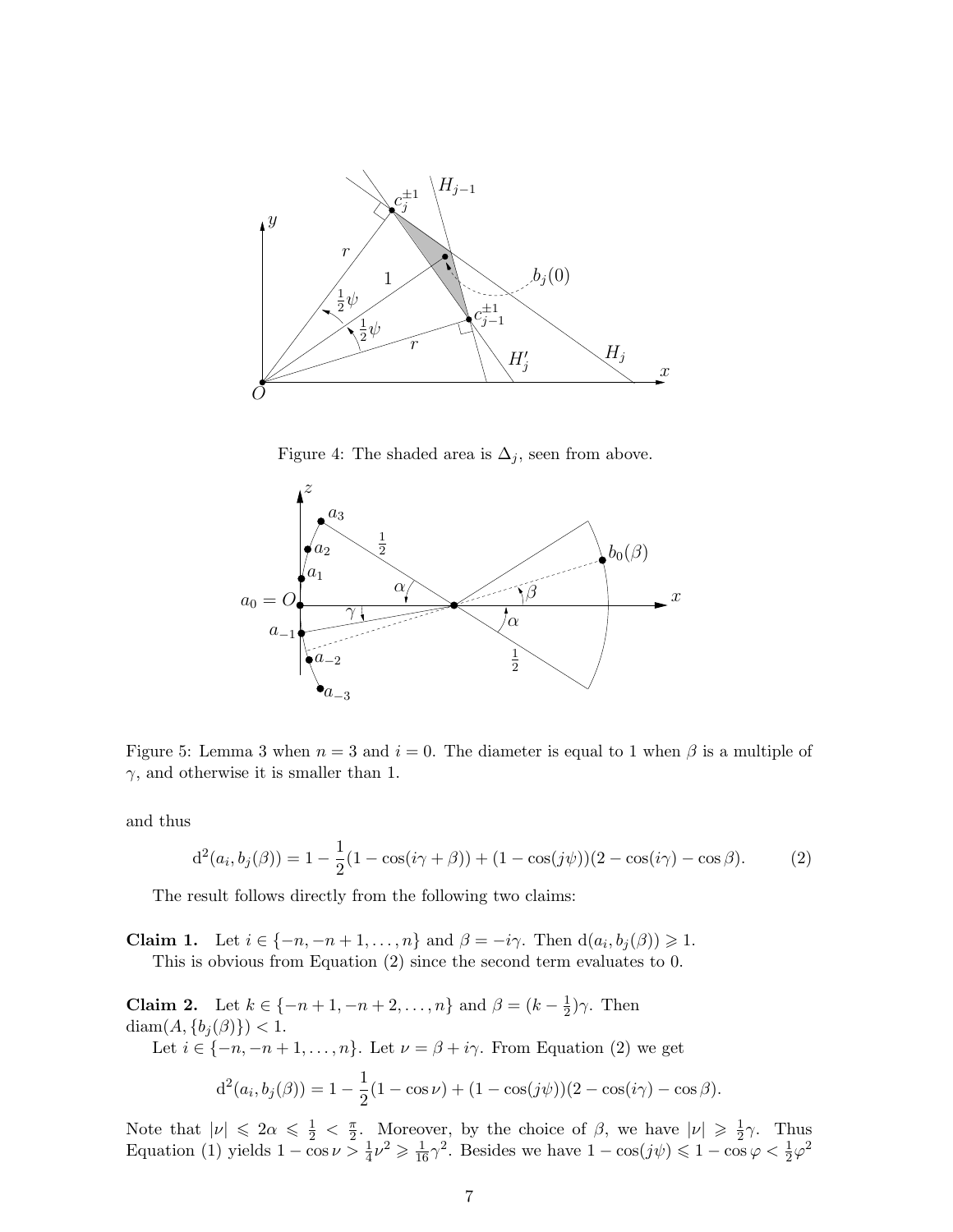

Figure 4: The shaded area is  $\Delta_j$ , seen from above.



Figure 5: Lemma 3 when  $n = 3$  and  $i = 0$ . The diameter is equal to 1 when  $\beta$  is a multiple of  $\gamma$ , and otherwise it is smaller than 1.

and thus

$$
d^{2}(a_{i}, b_{j}(\beta)) = 1 - \frac{1}{2}(1 - \cos(i\gamma + \beta)) + (1 - \cos(j\psi))(2 - \cos(i\gamma) - \cos\beta). \tag{2}
$$

The result follows directly from the following two claims:

**Claim 1.** Let  $i \in \{-n, -n+1, \ldots, n\}$  and  $\beta = -i\gamma$ . Then  $d(a_i, b_j(\beta)) \geq 1$ . This is obvious from Equation (2) since the second term evaluates to 0.

**Claim 2.** Let  $k \in \{-n+1, -n+2, ..., n\}$  and  $\beta = (k - \frac{1}{2})$  $(\frac{1}{2})\gamma$ . Then diam $(A, \{b_j(\beta)\}) < 1$ . Let  $i \in \{-n, -n+1, \ldots, n\}$ . Let  $\nu = \beta + i\gamma$ . From Equation (2) we get

$$
d^{2}(a_{i}, b_{j}(\beta)) = 1 - \frac{1}{2}(1 - \cos \nu) + (1 - \cos(j\psi))(2 - \cos(i\gamma) - \cos\beta).
$$

Note that  $|\nu| \leq 2\alpha \leq \frac{1}{2} < \frac{\pi}{2}$  $\frac{\pi}{2}$ . Moreover, by the choice of  $\beta$ , we have  $|\nu| \geq \frac{1}{2}$  $rac{1}{2}\gamma$ . Thus Equation (1) yields  $1 - \cos \nu > \frac{1}{4} \nu^2 \geq \frac{1}{16} \gamma^2$ . Besides we have  $1 - \cos(j\psi) \leq 1 - \cos \varphi < \frac{1}{2} \varphi^2$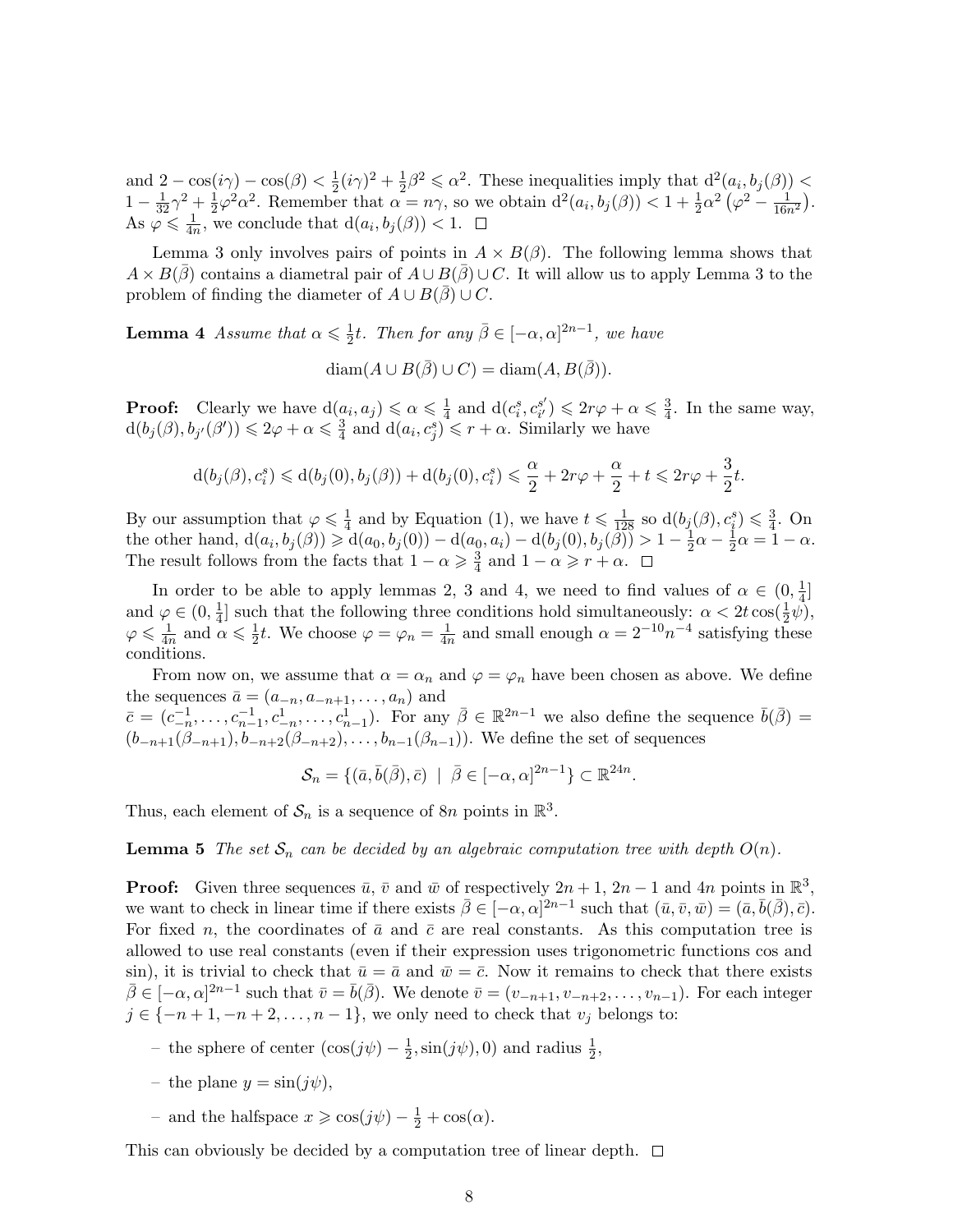and  $2 - \cos(i\gamma) - \cos(\beta) < \frac{1}{2}$  $\frac{1}{2}(i\gamma)^2 + \frac{1}{2}$  $\frac{1}{2}\beta^2 \leq \alpha^2$ . These inequalities imply that  $d^2(a_i, b_j(\beta))$  <  $1-\frac{1}{32}\gamma^2+\frac{1}{2}$  $\frac{1}{2}\varphi^2\alpha^2$ . Remember that  $\alpha = n\gamma$ , so we obtain  $d^2(a_i, b_j(\beta)) < 1 + \frac{1}{2}\alpha^2(\varphi^2 - \frac{1}{16n^2})$ . As  $\varphi \leqslant \frac{1}{4r}$  $\frac{1}{4n}$ , we conclude that  $d(a_i, b_j(\beta)) < 1$ .

Lemma 3 only involves pairs of points in  $A \times B(\beta)$ . The following lemma shows that  $A \times B(\bar{\beta})$  contains a diametral pair of  $A \cup B(\bar{\beta}) \cup C$ . It will allow us to apply Lemma 3 to the problem of finding the diameter of  $A \cup B(\beta) \cup C$ .

**Lemma 4** Assume that  $\alpha \leq \frac{1}{2}$  $\frac{1}{2}t$ . Then for any  $\bar{\beta} \in [-\alpha, \alpha]^{2n-1}$ , we have

 $\text{diam}(A \cup B(\bar{\beta}) \cup C) = \text{diam}(A, B(\bar{\beta})).$ 

**Proof:** Clearly we have  $d(a_i, a_j) \leq \alpha \leq \frac{1}{4}$  $\frac{1}{4}$  and  $d(c_i^s, c_{i'}^{s'})$  $s'_{i'}$ )  $\leqslant 2r\varphi + \alpha \leqslant \frac{3}{4}$  $\frac{3}{4}$ . In the same way,  $d(b_j(\beta), b_{j'}(\beta')) \leqslant 2\varphi + \alpha \leqslant \frac{3}{4}$  $\frac{3}{4}$  and  $d(a_i, c_j^s) \leq r + \alpha$ . Similarly we have

$$
\mathrm{d}(b_j(\beta),c_i^s)\leqslant\mathrm{d}(b_j(0),b_j(\beta))+\mathrm{d}(b_j(0),c_i^s)\leqslant\frac{\alpha}{2}+2r\varphi+\frac{\alpha}{2}+t\leqslant 2r\varphi+\frac{3}{2}t.
$$

By our assumption that  $\varphi \leq \frac{1}{4}$  $\frac{1}{4}$  and by Equation (1), we have  $t \leq \frac{1}{128}$  so  $d(b_j(\beta), c_i^s) \leq \frac{3}{4}$  $\frac{3}{4}$ . On the other hand,  $d(a_i, b_j(\beta)) \ge d(a_0, b_j(0)) - d(a_0, a_i) - d(b_j(0), b_j(\beta)) > 1 - \frac{1}{2}$  $rac{1}{2}\alpha-\frac{1}{2}$  $\frac{1}{2}\alpha = 1 - \alpha.$ The result follows from the facts that  $1 - \alpha \geq \frac{3}{4}$  $\frac{3}{4}$  and  $1 - \alpha \geqslant r + \alpha$ .

In order to be able to apply lemmas 2, 3 and 4, we need to find values of  $\alpha \in (0, \frac{1}{4})$ and  $\varphi \in (0, \frac{1}{4}]$  such that the following three conditions hold simultaneously:  $\alpha < 2t \cos(\frac{1}{2}\psi)$  $\frac{1}{4}$ ] such that the following three conditions hold simultaneously:  $\alpha < 2t \cos(\frac{1}{2})$  $\frac{1}{2}\psi$ ),  $\varphi \leqslant \frac{1}{4r}$  $\frac{1}{4n}$  and  $\alpha \leqslant \frac{1}{2}$  $\frac{1}{2}t$ . We choose  $\varphi = \varphi_n = \frac{1}{4n}$  $\frac{1}{4n}$  and small enough  $\alpha = 2^{-10}n^{-4}$  satisfying these conditions.

From now on, we assume that  $\alpha = \alpha_n$  and  $\varphi = \varphi_n$  have been chosen as above. We define the sequences  $\bar{a} = (a_{-n}, a_{-n+1}, \dots, a_n)$  and  $\bar{c} = (c_{-n}^{-1}, \ldots, c_{n-1}^{-1}, c_{-n}^{1}, \ldots, c_{n-1}^{1}).$  For any  $\bar{\beta} \in \mathbb{R}^{2n-1}$  we also define the sequence  $\bar{b}(\bar{\beta}) =$  $(b_{-n+1}(\beta_{-n+1}), b_{-n+2}(\beta_{-n+2}), \ldots, b_{n-1}(\beta_{n-1}))$ . We define the set of sequences

 $\mathcal{S}_n = \{(\bar{a}, \bar{b}(\bar{\beta}), \bar{c}) \mid \bar{\beta} \in [-\alpha, \alpha]^{2n-1}\} \subset \mathbb{R}^{24n}.$ 

Thus, each element of  $S_n$  is a sequence of  $8n$  points in  $\mathbb{R}^3$ .

**Lemma 5** The set  $\mathcal{S}_n$  can be decided by an algebraic computation tree with depth  $O(n)$ .

**Proof:** Given three sequences  $\bar{u}$ ,  $\bar{v}$  and  $\bar{w}$  of respectively  $2n + 1$ ,  $2n - 1$  and  $4n$  points in  $\mathbb{R}^3$ , we want to check in linear time if there exists  $\bar{\beta} \in [-\alpha, \alpha]^{2n-1}$  such that  $(\bar{u}, \bar{v}, \bar{w}) = (\bar{a}, \bar{b}(\bar{\beta}), \bar{c})$ . For fixed n, the coordinates of  $\bar{a}$  and  $\bar{c}$  are real constants. As this computation tree is allowed to use real constants (even if their expression uses trigonometric functions cos and sin), it is trivial to check that  $\bar{u} = \bar{a}$  and  $\bar{w} = \bar{c}$ . Now it remains to check that there exists  $\bar{\beta} \in [-\alpha, \alpha]^{2n-1}$  such that  $\bar{v} = \bar{b}(\bar{\beta})$ . We denote  $\bar{v} = (v_{-n+1}, v_{-n+2}, \ldots, v_{n-1})$ . For each integer  $j \in \{-n+1, -n+2, \ldots, n-1\}$ , we only need to check that  $v_j$  belongs to:

- the sphere of center  $(\cos(j\psi) \frac{1}{2})$  $\frac{1}{2}$ , sin( $j\psi$ ), 0) and radius  $\frac{1}{2}$ ,
- the plane  $y = \sin(j\psi)$ ,
- and the halfspace  $x \geq \cos(j\psi) \frac{1}{2} + \cos(\alpha)$ .

This can obviously be decided by a computation tree of linear depth.  $\Box$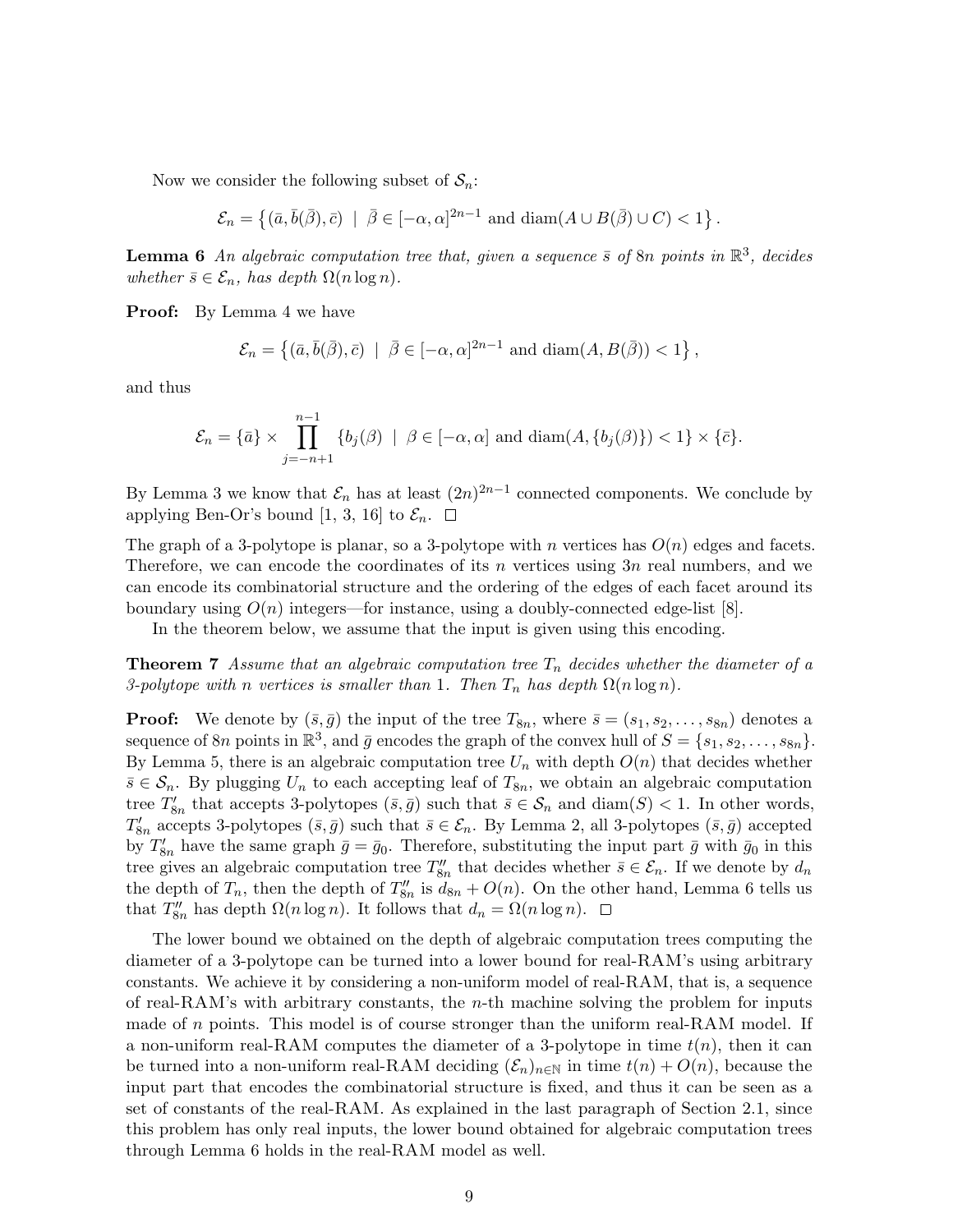Now we consider the following subset of  $S_n$ :

$$
\mathcal{E}_n = \left\{ (\bar{a}, \bar{b}(\bar{\beta}), \bar{c}) \mid \bar{\beta} \in [-\alpha, \alpha]^{2n-1} \text{ and } \text{diam}(A \cup B(\bar{\beta}) \cup C) < 1 \right\}.
$$

**Lemma 6** An algebraic computation tree that, given a sequence  $\bar{s}$  of 8n points in  $\mathbb{R}^3$ , decides whether  $\bar{s} \in \mathcal{E}_n$ , has depth  $\Omega(n \log n)$ .

**Proof:** By Lemma 4 we have

$$
\mathcal{E}_n = \left\{ (\bar{a}, \bar{b}(\bar{\beta}), \bar{c}) \mid \bar{\beta} \in [-\alpha, \alpha]^{2n-1} \text{ and } \text{diam}(A, B(\bar{\beta})) < 1 \right\},\
$$

and thus

$$
\mathcal{E}_n = \{\bar{a}\} \times \prod_{j=-n+1}^{n-1} \{b_j(\beta) \mid \beta \in [-\alpha, \alpha] \text{ and } \text{diam}(A, \{b_j(\beta)\}) < 1\} \times \{\bar{c}\}.
$$

By Lemma 3 we know that  $\mathcal{E}_n$  has at least  $(2n)^{2n-1}$  connected components. We conclude by applying Ben-Or's bound [1, 3, 16] to  $\mathcal{E}_n$ .  $\Box$ 

The graph of a 3-polytope is planar, so a 3-polytope with n vertices has  $O(n)$  edges and facets. Therefore, we can encode the coordinates of its n vertices using  $3n$  real numbers, and we can encode its combinatorial structure and the ordering of the edges of each facet around its boundary using  $O(n)$  integers—for instance, using a doubly-connected edge-list [8].

In the theorem below, we assume that the input is given using this encoding.

**Theorem 7** Assume that an algebraic computation tree  $T_n$  decides whether the diameter of a 3-polytope with n vertices is smaller than 1. Then  $T_n$  has depth  $\Omega(n \log n)$ .

**Proof:** We denote by  $(\bar{s}, \bar{g})$  the input of the tree  $T_{8n}$ , where  $\bar{s} = (s_1, s_2, \ldots, s_{8n})$  denotes a sequence of 8n points in  $\mathbb{R}^3$ , and  $\bar{g}$  encodes the graph of the convex hull of  $S = \{s_1, s_2, \ldots, s_{8n}\}.$ By Lemma 5, there is an algebraic computation tree  $U_n$  with depth  $O(n)$  that decides whether  $\bar{s} \in \mathcal{S}_n$ . By plugging  $U_n$  to each accepting leaf of  $T_{8n}$ , we obtain an algebraic computation tree  $T'_{8n}$  that accepts 3-polytopes  $(\bar{s}, \bar{g})$  such that  $\bar{s} \in \mathcal{S}_n$  and  $\text{diam}(S) < 1$ . In other words,  $T'_{8n}$  accepts 3-polytopes  $(\bar{s}, \bar{g})$  such that  $\bar{s} \in \mathcal{E}_n$ . By Lemma 2, all 3-polytopes  $(\bar{s}, \bar{g})$  accepted by  $T'_{8n}$  have the same graph  $\bar{g}=\bar{g}_0$ . Therefore, substituting the input part  $\bar{g}$  with  $\bar{g}_0$  in this tree gives an algebraic computation tree  $T''_{8n}$  that decides whether  $\bar{s} \in \mathcal{E}_n$ . If we denote by  $d_n$ the depth of  $T_n$ , then the depth of  $T_{8n}''$  is  $d_{8n} + O(n)$ . On the other hand, Lemma 6 tells us that  $T''_{8n}$  has depth  $\Omega(n \log n)$ . It follows that  $d_n = \Omega(n \log n)$ .

The lower bound we obtained on the depth of algebraic computation trees computing the diameter of a 3-polytope can be turned into a lower bound for real-RAM's using arbitrary constants. We achieve it by considering a non-uniform model of real-RAM, that is, a sequence of real-RAM's with arbitrary constants, the n-th machine solving the problem for inputs made of n points. This model is of course stronger than the uniform real-RAM model. If a non-uniform real-RAM computes the diameter of a 3-polytope in time  $t(n)$ , then it can be turned into a non-uniform real-RAM deciding  $(\mathcal{E}_n)_{n\in\mathbb{N}}$  in time  $t(n) + O(n)$ , because the input part that encodes the combinatorial structure is fixed, and thus it can be seen as a set of constants of the real-RAM. As explained in the last paragraph of Section 2.1, since this problem has only real inputs, the lower bound obtained for algebraic computation trees through Lemma 6 holds in the real-RAM model as well.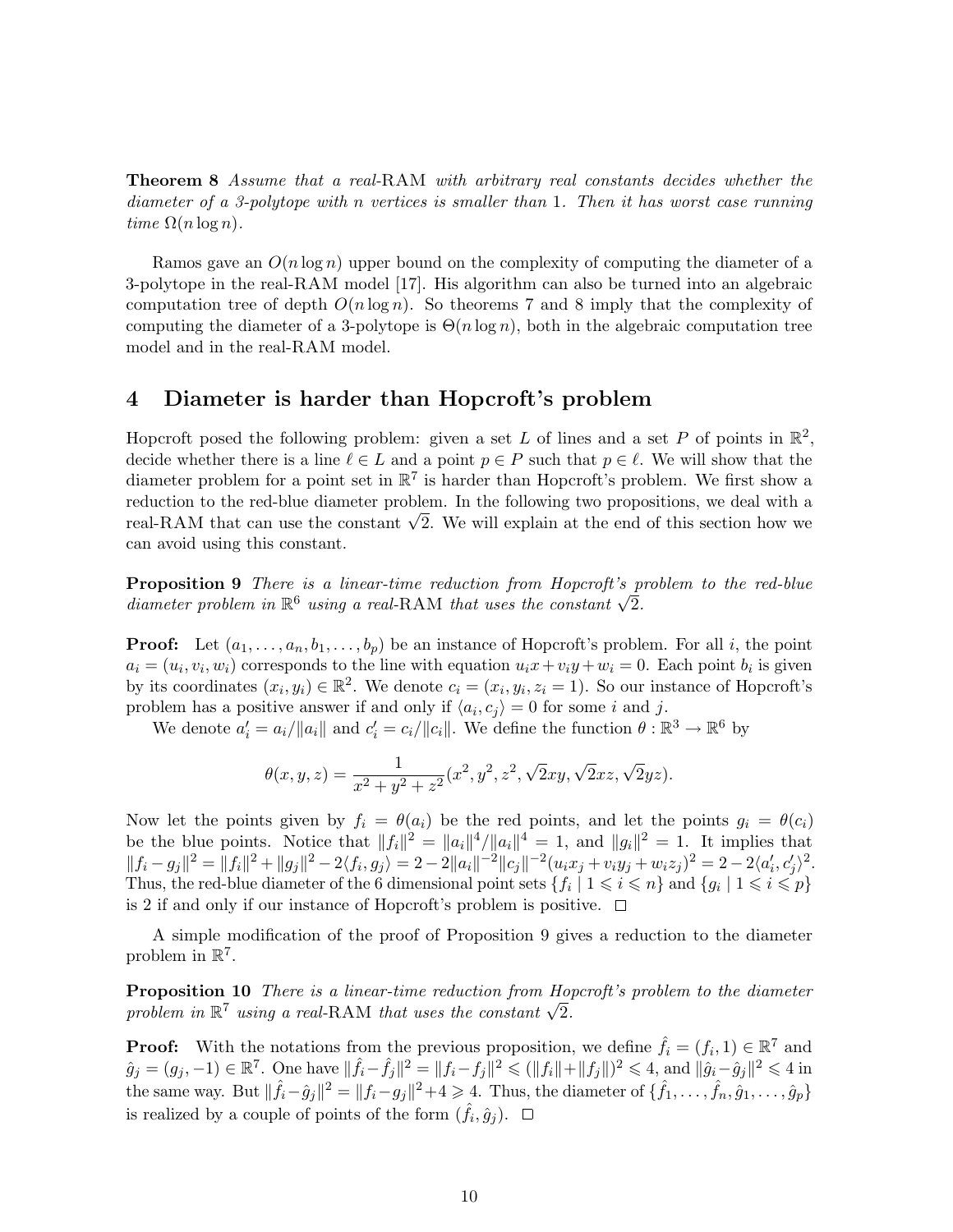Theorem 8 Assume that a real-RAM with arbitrary real constants decides whether the diameter of a 3-polytope with n vertices is smaller than 1. Then it has worst case running time  $\Omega(n \log n)$ .

Ramos gave an  $O(n \log n)$  upper bound on the complexity of computing the diameter of a 3-polytope in the real-RAM model [17]. His algorithm can also be turned into an algebraic computation tree of depth  $O(n \log n)$ . So theorems 7 and 8 imply that the complexity of computing the diameter of a 3-polytope is  $\Theta(n \log n)$ , both in the algebraic computation tree model and in the real-RAM model.

#### 4 Diameter is harder than Hopcroft's problem

Hopcroft posed the following problem: given a set L of lines and a set P of points in  $\mathbb{R}^2$ , decide whether there is a line  $\ell \in L$  and a point  $p \in P$  such that  $p \in \ell$ . We will show that the diameter problem for a point set in  $\mathbb{R}^7$  is harder than Hopcroft's problem. We first show a reduction to the red-blue diameter problem. In the following two propositions, we deal with a reduction to the red-blue diameter problem. In the following two propositions, we deal with a<br>real-RAM that can use the constant  $\sqrt{2}$ . We will explain at the end of this section how we can avoid using this constant.

**Proposition 9** There is a linear-time reduction from Hopcroft's problem to the red-blue **Proposition 9** There is a unear-time reauction from Hopcroft's p<br>diameter problem in  $\mathbb{R}^6$  using a real-RAM that uses the constant  $\sqrt{2}$ .

**Proof:** Let  $(a_1, \ldots, a_n, b_1, \ldots, b_p)$  be an instance of Hopcroft's problem. For all i, the point  $a_i = (u_i, v_i, w_i)$  corresponds to the line with equation  $u_i x + v_i y + w_i = 0$ . Each point  $b_i$  is given by its coordinates  $(x_i, y_i) \in \mathbb{R}^2$ . We denote  $c_i = (x_i, y_i, z_i = 1)$ . So our instance of Hopcroft's problem has a positive answer if and only if  $\langle a_i, c_j \rangle = 0$  for some i and j.

We denote  $a'_i = a_i / ||a_i||$  and  $c'_i = c_i / ||c_i||$ . We define the function  $\theta : \mathbb{R}^3 \to \mathbb{R}^6$  by

$$
\theta(x, y, z) = \frac{1}{x^2 + y^2 + z^2} (x^2, y^2, z^2, \sqrt{2}xy, \sqrt{2}xz, \sqrt{2}yz).
$$

Now let the points given by  $f_i = \theta(a_i)$  be the red points, and let the points  $g_i = \theta(c_i)$ be the blue points. Notice that  $||f_i||^2 = ||a_i||^4/||a_i||^4 = 1$ , and  $||g_i||^2 = 1$ . It implies that  $\|f_i-g_j\|^2=\|f_i\|^2+\|g_j\|^2-2\langle f_i,g_j\rangle=2-2\|a_i\|^{-2}\|c_j\|^{-2}(u_ix_j+v_iy_j+w_iz_j)^2=2-2\langle a_i',c_j'\rangle^2.$ Thus, the red-blue diameter of the 6 dimensional point sets  $\{f_i \mid 1 \leq i \leq n\}$  and  $\{g_i \mid 1 \leq i \leq p\}$ is 2 if and only if our instance of Hopcroft's problem is positive.  $\Box$ 

A simple modification of the proof of Proposition 9 gives a reduction to the diameter problem in  $\mathbb{R}^7$ .

Proposition 10 There is a linear-time reduction from Hopcroft's problem to the diameter **Proposition 10** There is a unear-time reduction from Ho<sub>1</sub> problem in  $\mathbb{R}^7$  using a real-RAM that uses the constant  $\sqrt{2}$ .

**Proof:** With the notations from the previous proposition, we define  $\hat{f}_i = (f_i, 1) \in \mathbb{R}^7$  and  $\hat{g}_j = (g_j, -1) \in \mathbb{R}^7$ . One have  $\|\hat{f}_i - \hat{f}_j\|^2 = \|f_i - f_j\|^2 \leqslant (\|f_i\| + \|f_j\|)^2 \leqslant 4$ , and  $\|\hat{g}_i - \hat{g}_j\|^2 \leqslant 4$  in the same way. But  $\|\hat{f}_i - \hat{g}_j\|^2 = \|f_i - g_j\|^2 + 4 \geq 4$ . Thus, the diameter of  $\{\hat{f}_1, \dots, \hat{f}_n, \hat{g}_1, \dots, \hat{g}_p\}$ is realized by a couple of points of the form  $(\hat{f}_i, \hat{g}_j)$ .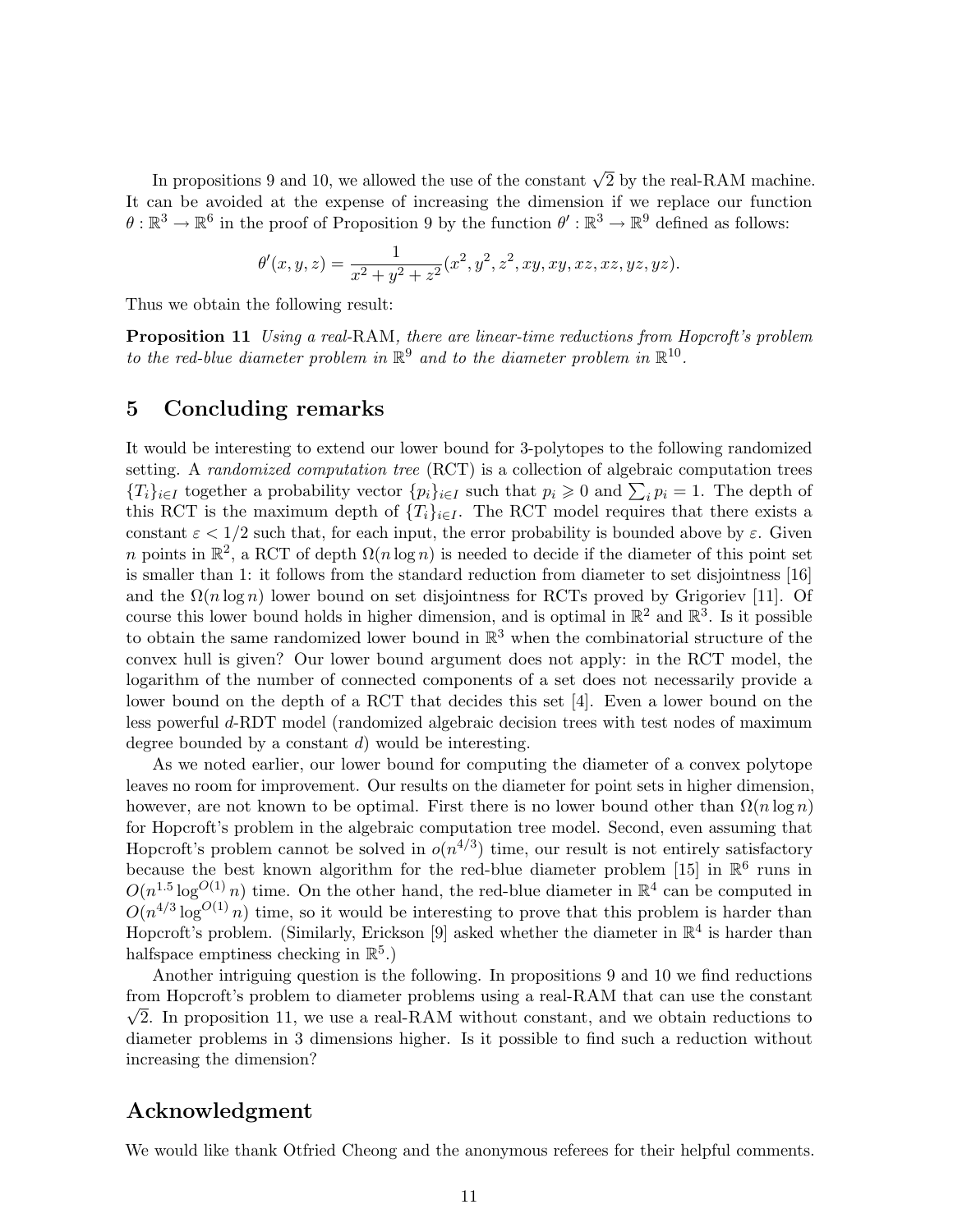In propositions 9 and 10, we allowed the use of the constant  $\sqrt{2}$  by the real-RAM machine. It can be avoided at the expense of increasing the dimension if we replace our function  $\theta: \mathbb{R}^3 \to \mathbb{R}^6$  in the proof of Proposition 9 by the function  $\theta': \mathbb{R}^3 \to \mathbb{R}^9$  defined as follows:

$$
\theta'(x,y,z) = \frac{1}{x^2 + y^2 + z^2}(x^2, y^2, z^2, xy, xy, xz, xz, yz, yz).
$$

Thus we obtain the following result:

Proposition 11 Using a real-RAM, there are linear-time reductions from Hopcroft's problem to the red-blue diameter problem in  $\mathbb{R}^9$  and to the diameter problem in  $\mathbb{R}^{10}$ .

#### 5 Concluding remarks

It would be interesting to extend our lower bound for 3-polytopes to the following randomized setting. A *randomized computation tree* (RCT) is a collection of algebraic computation trees  ${T_i}_{i\in I}$  together a probability vector  ${p_i}_{i\in I}$  such that  $p_i \geq 0$  and  $\sum_i p_i = 1$ . The depth of this RCT is the maximum depth of  $\{T_i\}_{i\in I}$ . The RCT model requires that there exists a constant  $\varepsilon < 1/2$  such that, for each input, the error probability is bounded above by  $\varepsilon$ . Given n points in  $\mathbb{R}^2$ , a RCT of depth  $\Omega(n \log n)$  is needed to decide if the diameter of this point set is smaller than 1: it follows from the standard reduction from diameter to set disjointness [16] and the  $\Omega(n \log n)$  lower bound on set disjointness for RCTs proved by Grigoriev [11]. Of course this lower bound holds in higher dimension, and is optimal in  $\mathbb{R}^2$  and  $\mathbb{R}^3$ . Is it possible to obtain the same randomized lower bound in  $\mathbb{R}^3$  when the combinatorial structure of the convex hull is given? Our lower bound argument does not apply: in the RCT model, the logarithm of the number of connected components of a set does not necessarily provide a lower bound on the depth of a RCT that decides this set [4]. Even a lower bound on the less powerful d-RDT model (randomized algebraic decision trees with test nodes of maximum degree bounded by a constant  $d$ ) would be interesting.

As we noted earlier, our lower bound for computing the diameter of a convex polytope leaves no room for improvement. Our results on the diameter for point sets in higher dimension, however, are not known to be optimal. First there is no lower bound other than  $\Omega(n \log n)$ for Hopcroft's problem in the algebraic computation tree model. Second, even assuming that Hopcroft's problem cannot be solved in  $o(n^{4/3})$  time, our result is not entirely satisfactory because the best known algorithm for the red-blue diameter problem [15] in  $\mathbb{R}^6$  runs in  $O(n^{1.5} \log^{O(1)} n)$  time. On the other hand, the red-blue diameter in  $\mathbb{R}^4$  can be computed in  $O(n^{4/3} \log^{O(1)} n)$  time, so it would be interesting to prove that this problem is harder than Hopcroft's problem. (Similarly, Erickson [9] asked whether the diameter in  $\mathbb{R}^4$  is harder than halfspace emptiness checking in  $\mathbb{R}^5$ .)

Another intriguing question is the following. In propositions 9 and 10 we find reductions from Hopcroft's problem to diameter problems using a real-RAM that can use the constant  $\sqrt{2}$ . In proposition 11, we use a real-RAM without constant, and we obtain reductions to diameter problems in 3 dimensions higher. Is it possible to find such a reduction without increasing the dimension?

## Acknowledgment

We would like thank Otfried Cheong and the anonymous referees for their helpful comments.